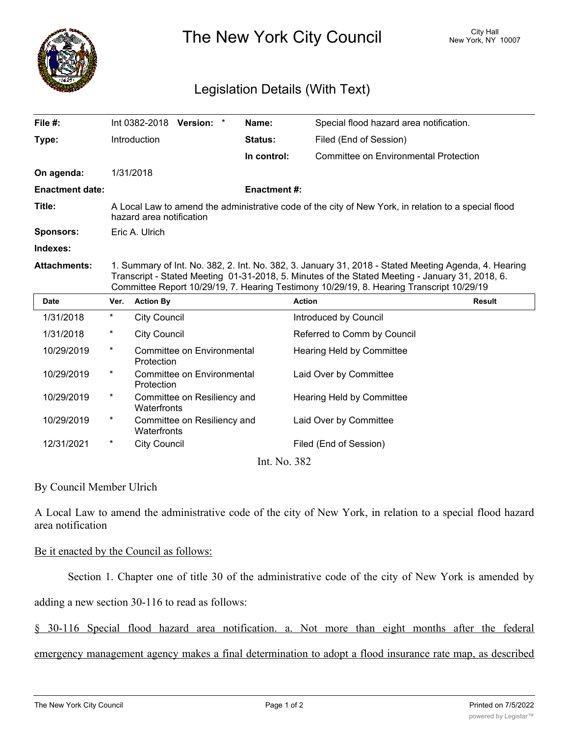

The New York City Council New York, NY 10007

## Legislation Details (With Text)

| File #:                |                                                                                                                                                                                                                                                                                                     | Int 0382-2018                              | Version: * |  | Name:              | Special flood hazard area notification. |               |
|------------------------|-----------------------------------------------------------------------------------------------------------------------------------------------------------------------------------------------------------------------------------------------------------------------------------------------------|--------------------------------------------|------------|--|--------------------|-----------------------------------------|---------------|
| Type:                  |                                                                                                                                                                                                                                                                                                     | Introduction                               |            |  | Status:            | Filed (End of Session)                  |               |
|                        |                                                                                                                                                                                                                                                                                                     |                                            |            |  | In control:        | Committee on Environmental Protection   |               |
| On agenda:             |                                                                                                                                                                                                                                                                                                     | 1/31/2018                                  |            |  |                    |                                         |               |
| <b>Enactment date:</b> |                                                                                                                                                                                                                                                                                                     |                                            |            |  | <b>Enactment#:</b> |                                         |               |
| Title:                 | A Local Law to amend the administrative code of the city of New York, in relation to a special flood<br>hazard area notification                                                                                                                                                                    |                                            |            |  |                    |                                         |               |
| <b>Sponsors:</b>       | Eric A. Ulrich                                                                                                                                                                                                                                                                                      |                                            |            |  |                    |                                         |               |
| Indexes:               |                                                                                                                                                                                                                                                                                                     |                                            |            |  |                    |                                         |               |
| <b>Attachments:</b>    | 1. Summary of Int. No. 382, 2. Int. No. 382, 3. January 31, 2018 - Stated Meeting Agenda, 4. Hearing<br>Transcript - Stated Meeting 01-31-2018, 5. Minutes of the Stated Meeting - January 31, 2018, 6.<br>Committee Report 10/29/19, 7. Hearing Testimony 10/29/19, 8. Hearing Transcript 10/29/19 |                                            |            |  |                    |                                         |               |
| <b>Date</b>            | Ver.                                                                                                                                                                                                                                                                                                | <b>Action By</b>                           |            |  |                    | <b>Action</b>                           | <b>Result</b> |
| 1/31/2018              | $\star$                                                                                                                                                                                                                                                                                             | <b>City Council</b>                        |            |  |                    | Introduced by Council                   |               |
| 1/31/2018              | $\ast$                                                                                                                                                                                                                                                                                              | <b>City Council</b>                        |            |  |                    | Referred to Comm by Council             |               |
| 10/29/2019             | $^\star$                                                                                                                                                                                                                                                                                            | Committee on Environmental<br>Protection   |            |  |                    | <b>Hearing Held by Committee</b>        |               |
| 10/29/2019             | $^\star$                                                                                                                                                                                                                                                                                            | Committee on Environmental<br>Protection   |            |  |                    | Laid Over by Committee                  |               |
| 10/29/2019             | $^\star$                                                                                                                                                                                                                                                                                            | Committee on Resiliency and<br>Waterfronts |            |  |                    | <b>Hearing Held by Committee</b>        |               |
| 10/29/2019             | $^\star$                                                                                                                                                                                                                                                                                            | Committee on Resiliency and<br>Waterfronts |            |  |                    | Laid Over by Committee                  |               |
| 12/31/2021             | *                                                                                                                                                                                                                                                                                                   | <b>City Council</b>                        |            |  |                    | Filed (End of Session)                  |               |
|                        |                                                                                                                                                                                                                                                                                                     |                                            |            |  |                    |                                         |               |

Int. No. 382

By Council Member Ulrich

A Local Law to amend the administrative code of the city of New York, in relation to a special flood hazard area notification

## Be it enacted by the Council as follows:

Section 1. Chapter one of title 30 of the administrative code of the city of New York is amended by

adding a new section 30-116 to read as follows:

§ 30-116 Special flood hazard area notification. a. Not more than eight months after the federal

emergency management agency makes a final determination to adopt a flood insurance rate map, as described